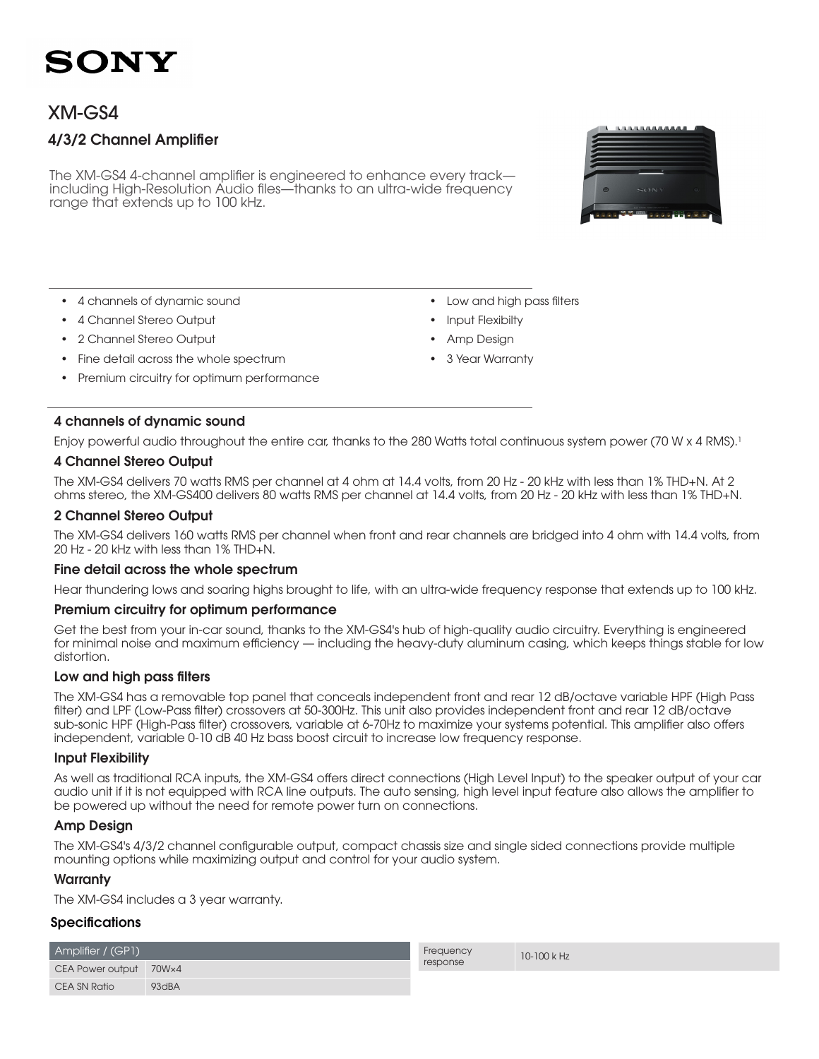# SONY

## XM-GS4

### 4/3/2 Channel Amplifier

The XM-GS4 4-channel amplifier is engineered to enhance every track including High-Resolution Audio files—thanks to an ultra-wide frequency range that extends up to 100 kHz.



- • 4 channels of dynamic sound
- • 4 Channel Stereo Output
- 2 Channel Stereo Output
- Fine detail across the whole spectrum
- Premium circuitry for optimum performance

4 channels of dynamic sound

• Low and high pass filters

- Input Flexibilty
- Amp Design
- 3 Year Warranty

Enjoy powerful audio throughout the entire car, thanks to the 280 Watts total continuous system power (70 W x 4 RMS).<sup>1</sup>

### 4 Channel Stereo Output

The XM-GS4 delivers 70 watts RMS per channel at 4 ohm at 14.4 volts, from 20 Hz - 20 kHz with less than 1% THD+N. At 2 ohms stereo, the XM-GS400 delivers 80 watts RMS per channel at 14.4 volts, from 20 Hz - 20 kHz with less than 1% THD+N.

### 2 Channel Stereo Output

The XM-GS4 delivers 160 watts RMS per channel when front and rear channels are bridged into 4 ohm with 14.4 volts, from 20 Hz - 20 kHz with less than 1% THD+N.

#### Fine detail across the whole spectrum

Hear thundering lows and soaring highs brought to life, with an ultra-wide frequency response that extends up to 100 kHz.

#### Premium circuitry for optimum performance

Get the best from your in-car sound, thanks to the XM-GS4's hub of high-quality audio circuitry. Everything is engineered for minimal noise and maximum efficiency — including the heavy-duty aluminum casing, which keeps things stable for low distortion.

#### Low and high pass filters

The XM-GS4 has a removable top panel that conceals independent front and rear 12 dB/octave variable HPF (High Pass filter) and LPF (Low-Pass filter) crossovers at 50-300Hz. This unit also provides independent front and rear 12 dB/octave sub-sonic HPF (High-Pass filter) crossovers, variable at 6-70Hz to maximize your systems potential. This amplifier also offers independent, variable 0-10 dB 40 Hz bass boost circuit to increase low frequency response.

#### Input Flexibility

As well as traditional RCA inputs, the XM-GS4 offers direct connections (High Level Input) to the speaker output of your car audio unit if it is not equipped with RCA line outputs. The auto sensing, high level input feature also allows the amplifier to be powered up without the need for remote power turn on connections.

#### Amp Design

The XM-GS4's 4/3/2 channel configurable output, compact chassis size and single sided connections provide multiple mounting options while maximizing output and control for your audio system.

#### **Warranty**

The XM-GS4 includes a 3 year warranty.

#### Specifications

| Amplifier / (GP1)      |                   |
|------------------------|-------------------|
| CEA Power output 70Wx4 |                   |
| CEA SN Ratio           | 93 <sub>dBA</sub> |

**Frequency** response

10-100 k Hz